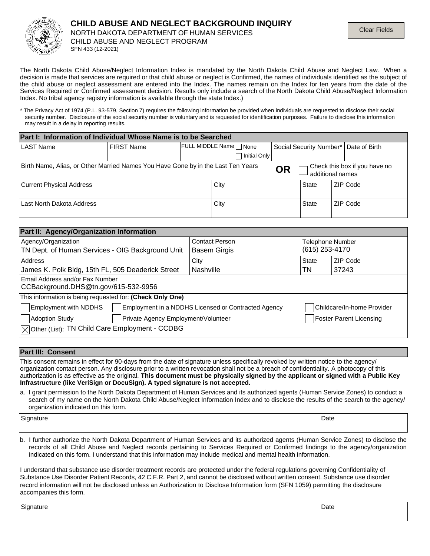

The North Dakota Child Abuse/Neglect Information Index is mandated by the North Dakota Child Abuse and Neglect Law. When a decision is made that services are required or that child abuse or neglect is Confirmed, the names of individuals identified as the subject of the child abuse or neglect assessment are entered into the Index. The names remain on the Index for ten years from the date of the Services Required or Confirmed assessment decision. Results only include a search of the North Dakota Child Abuse/Neglect Information Index. No tribal agency registry information is available through the state Index.)

\* The Privacy Act of 1974 (P.L. 93-579, Section 7) requires the following information be provided when individuals are requested to disclose their social security number. Disclosure of the social security number is voluntary and is requested for identification purposes. Failure to disclose this information may result in a delay in reporting results.

| Part I: Information of Individual Whose Name is to be Searched                                                                                     |                   |                       |              |  |       |                                         |
|----------------------------------------------------------------------------------------------------------------------------------------------------|-------------------|-----------------------|--------------|--|-------|-----------------------------------------|
| <b>LAST Name</b>                                                                                                                                   | <b>FIRST Name</b> | FULL MIDDLE Name None |              |  |       | Social Security Number*   Date of Birth |
|                                                                                                                                                    |                   |                       | Initial Only |  |       |                                         |
| Birth Name, Alias, or Other Married Names You Have Gone by in the Last Ten Years<br>Check this box if you have no<br><b>OR</b><br>additional names |                   |                       |              |  |       |                                         |
| <b>Current Physical Address</b>                                                                                                                    |                   |                       | City         |  | State | ZIP Code                                |
| Last North Dakota Address                                                                                                                          |                   |                       | City         |  | State | ZIP Code                                |

| Part II: Agency/Organization Information                                            |                       |                            |                                |  |
|-------------------------------------------------------------------------------------|-----------------------|----------------------------|--------------------------------|--|
| Agency/Organization                                                                 | <b>Contact Person</b> | <b>Telephone Number</b>    |                                |  |
| TN Dept. of Human Services - OIG Background Unit                                    | <b>Basem Girgis</b>   | (615) 253-4170             |                                |  |
| Address                                                                             | City                  | <b>State</b>               | ZIP Code                       |  |
| James K. Polk Bldg, 15th FL, 505 Deaderick Street                                   | Nashville             | TN                         | 37243                          |  |
| Email Address and/or Fax Number<br>CCBackground.DHS@tn.gov/615-532-9956             |                       |                            |                                |  |
| This information is being requested for: (Check Only One)                           |                       |                            |                                |  |
| <b>Employment with NDDHS</b><br>Employment in a NDDHS Licensed or Contracted Agency |                       | Childcare/In-home Provider |                                |  |
| Private Agency Employment/Volunteer<br>Adoption Study                               |                       |                            | <b>Foster Parent Licensing</b> |  |
| $ \sqrt{2} $ Other (List): TN Child Care Employment - CCDBG                         |                       |                            |                                |  |

## **Part III: Consent**

This consent remains in effect for 90-days from the date of signature unless specifically revoked by written notice to the agency/ organization contact person. Any disclosure prior to a written revocation shall not be a breach of confidentiality. A photocopy of this authorization is as effective as the original. **This document must be physically signed by the applicant or signed with a Public Key Infrastructure (like VeriSign or DocuSign). A typed signature is not accepted.**

a. I grant permission to the North Dakota Department of Human Services and its authorized agents (Human Service Zones) to conduct a search of my name on the North Dakota Child Abuse/Neglect Information Index and to disclose the results of the search to the agency/ organization indicated on this form.

| $\sim$<br>sionature<br>.<br>. . | Date |
|---------------------------------|------|
|                                 |      |

b. I further authorize the North Dakota Department of Human Services and its authorized agents (Human Service Zones) to disclose the records of all Child Abuse and Neglect records pertaining to Services Required or Confirmed findings to the agency/organization indicated on this form. I understand that this information may include medical and mental health information.

I understand that substance use disorder treatment records are protected under the federal regulations governing Confidentiality of Substance Use Disorder Patient Records, 42 C.F.R. Part 2, and cannot be disclosed without written consent. Substance use disorder record information will not be disclosed unless an Authorization to Disclose Information form (SFN 1059) permitting the disclosure accompanies this form.

Signature Date **Date of the Date of the Contract of the Contract of the Date of the Date of Date of the Date of the Date of the Date of the Date of the Date of the Date of the Date of the Date of the Date of the Date of th**